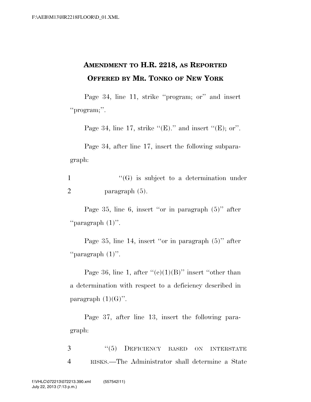## **AMENDMENT TO H.R. 2218, AS REPORTED OFFERED BY MR. TONKO OF NEW YORK**

Page 34, line 11, strike ''program; or'' and insert "program;".

Page 34, line 17, strike " $(E)$ ." and insert " $(E)$ ; or".

Page 34, after line 17, insert the following subparagraph:

1 ''(G) is subject to a determination under 2 paragraph (5).

Page 35, line 6, insert ''or in paragraph (5)'' after ''paragraph (1)''.

Page 35, line 14, insert ''or in paragraph (5)'' after ''paragraph (1)''.

Page 36, line 1, after  $((e)(1)(B))$  insert "other than a determination with respect to a deficiency described in paragraph  $(1)(G)$ ".

Page 37, after line 13, insert the following paragraph:

3 "(5) DEFICIENCY BASED ON INTERSTATE 4 RISKS.—The Administrator shall determine a State